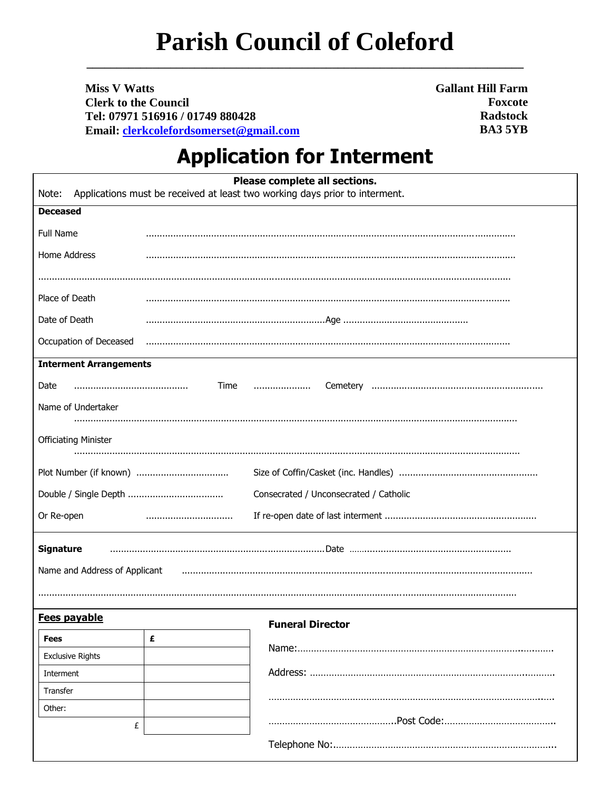## **Parish Council of Coleford**

**Miss V Watts Clerk to the Council** Tel: 07971 516916 / 01749 880428 Email: clerkcolefordsomerset@gmail.com **Gallant Hill Farm Foxcote Radstock BA35YB** 

## **Application for Interment**

| Please complete all sections.<br>Applications must be received at least two working days prior to interment.<br>Note: |   |                         |
|-----------------------------------------------------------------------------------------------------------------------|---|-------------------------|
| <b>Deceased</b>                                                                                                       |   |                         |
| <b>Full Name</b>                                                                                                      |   |                         |
| Home Address                                                                                                          |   |                         |
|                                                                                                                       |   |                         |
|                                                                                                                       |   |                         |
| Place of Death                                                                                                        |   |                         |
| Date of Death                                                                                                         |   |                         |
| Occupation of Deceased                                                                                                |   |                         |
| <b>Interment Arrangements</b>                                                                                         |   |                         |
| Date                                                                                                                  |   | Time                    |
| Name of Undertaker                                                                                                    |   |                         |
|                                                                                                                       |   |                         |
| <b>Officiating Minister</b>                                                                                           |   |                         |
|                                                                                                                       |   |                         |
|                                                                                                                       |   |                         |
| Consecrated / Unconsecrated / Catholic                                                                                |   |                         |
| Or Re-open                                                                                                            |   |                         |
| <b>Signature</b><br>Name and Address of Applicant                                                                     |   |                         |
| Fees payable                                                                                                          |   |                         |
| Fees                                                                                                                  | £ | <b>Funeral Director</b> |
| <b>Exclusive Rights</b>                                                                                               |   |                         |
| Interment                                                                                                             |   |                         |
| Transfer                                                                                                              |   |                         |
| Other:                                                                                                                |   |                         |
| £                                                                                                                     |   |                         |
|                                                                                                                       |   |                         |